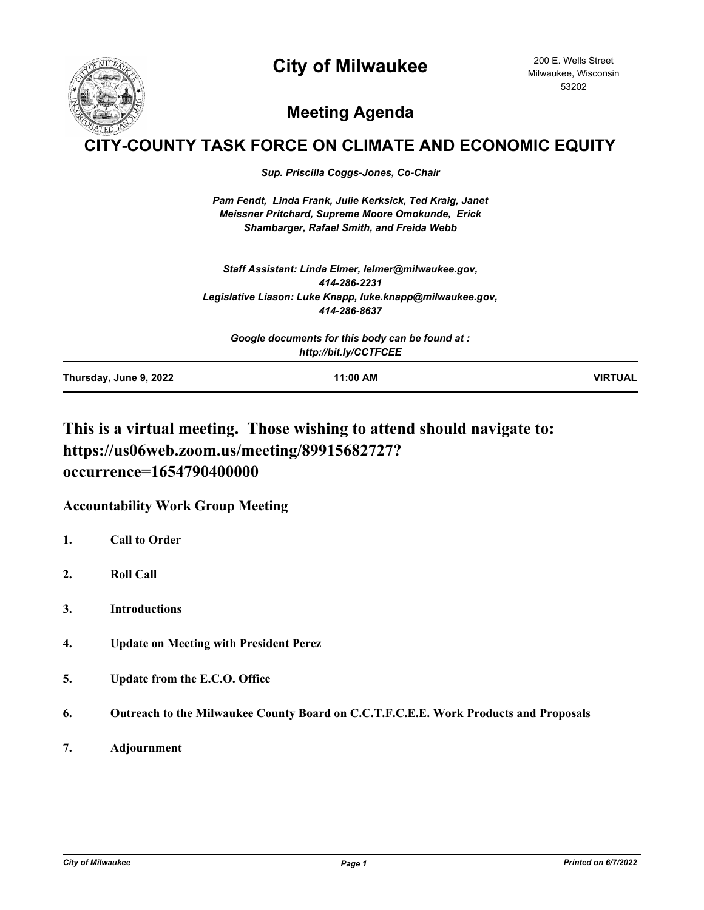# **City of Milwaukee**



200 E. Wells Street Milwaukee, Wisconsin 53202

# **Meeting Agenda**

## **Y-COUNTY TASK FORCE ON CLIMATE AND ECONOMIC EQUITY**

*Sup. Priscilla Coggs-Jones, Co-Chair*

*Pam Fendt, Linda Frank, Julie Kerksick, Ted Kraig, Janet Meissner Pritchard, Supreme Moore Omokunde, Erick Shambarger, Rafael Smith, and Freida Webb*

*Staff Assistant: Linda Elmer, lelmer@milwaukee.gov, 414-286-2231 Legislative Liason: Luke Knapp, luke.knapp@milwaukee.gov, 414-286-8637*

| Google documents for this body can be found at :<br>http://bit.ly/CCTFCEE |  |  |
|---------------------------------------------------------------------------|--|--|
|                                                                           |  |  |

### **This is a virtual meeting. Those wishing to attend should navigate to: https://us06web.zoom.us/meeting/89915682727? occurrence=1654790400000**

### **Accountability Work Group Meeting**

- **1. Call to Order**
- **2. Roll Call**
- **3. Introductions**
- **4. Update on Meeting with President Perez**
- **5. Update from the E.C.O. Office**
- **6. Outreach to the Milwaukee County Board on C.C.T.F.C.E.E. Work Products and Proposals**
- **7. Adjournment**